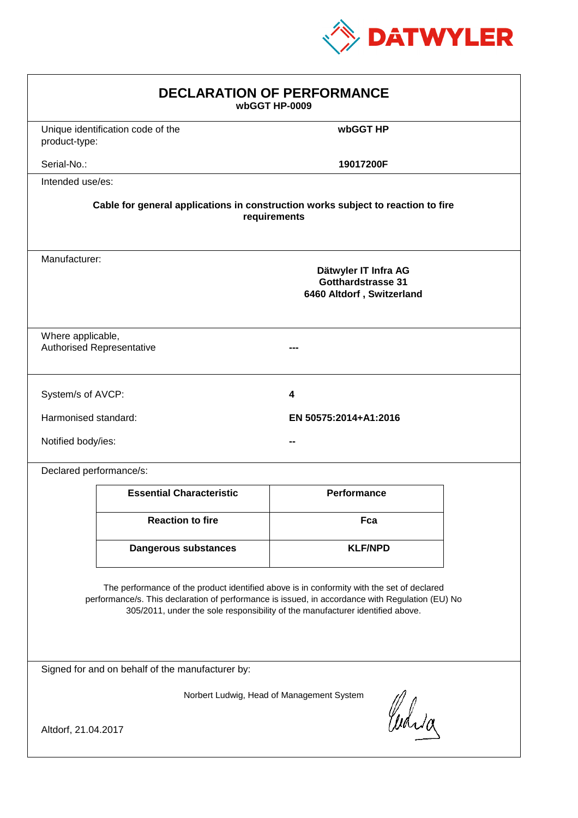

| <b>DECLARATION OF PERFORMANCE</b><br>wbGGT HP-0009                                                                                                                                                                                                                            |                                                                                                 |                       |  |  |  |
|-------------------------------------------------------------------------------------------------------------------------------------------------------------------------------------------------------------------------------------------------------------------------------|-------------------------------------------------------------------------------------------------|-----------------------|--|--|--|
| product-type:                                                                                                                                                                                                                                                                 | Unique identification code of the                                                               | wbGGT HP              |  |  |  |
| Serial-No.:                                                                                                                                                                                                                                                                   |                                                                                                 | 19017200F             |  |  |  |
| Intended use/es:                                                                                                                                                                                                                                                              |                                                                                                 |                       |  |  |  |
| Cable for general applications in construction works subject to reaction to fire<br>requirements                                                                                                                                                                              |                                                                                                 |                       |  |  |  |
|                                                                                                                                                                                                                                                                               | Manufacturer:<br>Dätwyler IT Infra AG<br><b>Gotthardstrasse 31</b><br>6460 Altdorf, Switzerland |                       |  |  |  |
|                                                                                                                                                                                                                                                                               | Where applicable,<br><b>Authorised Representative</b>                                           |                       |  |  |  |
| System/s of AVCP:                                                                                                                                                                                                                                                             |                                                                                                 | 4                     |  |  |  |
| Harmonised standard:                                                                                                                                                                                                                                                          |                                                                                                 | EN 50575:2014+A1:2016 |  |  |  |
| Notified body/ies:                                                                                                                                                                                                                                                            |                                                                                                 |                       |  |  |  |
| Declared performance/s:                                                                                                                                                                                                                                                       |                                                                                                 |                       |  |  |  |
|                                                                                                                                                                                                                                                                               | <b>Essential Characteristic</b>                                                                 | <b>Performance</b>    |  |  |  |
|                                                                                                                                                                                                                                                                               | <b>Reaction to fire</b>                                                                         | Fca                   |  |  |  |
|                                                                                                                                                                                                                                                                               | <b>Dangerous substances</b>                                                                     | <b>KLF/NPD</b>        |  |  |  |
| The performance of the product identified above is in conformity with the set of declared<br>performance/s. This declaration of performance is issued, in accordance with Regulation (EU) No<br>305/2011, under the sole responsibility of the manufacturer identified above. |                                                                                                 |                       |  |  |  |
| Signed for and on behalf of the manufacturer by:                                                                                                                                                                                                                              |                                                                                                 |                       |  |  |  |
| Norbert Ludwig, Head of Management System<br>Curia<br>Altdorf, 21.04.2017                                                                                                                                                                                                     |                                                                                                 |                       |  |  |  |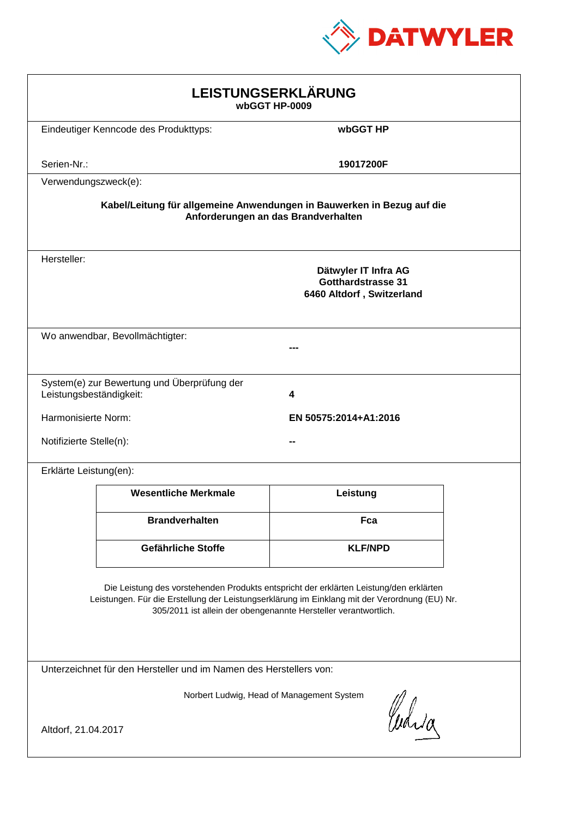

| LEISTUNGSERKLÄRUNG<br>wbGGT HP-0009                                                                                                                                                                                                                        |                                                                                |                                     |  |  |
|------------------------------------------------------------------------------------------------------------------------------------------------------------------------------------------------------------------------------------------------------------|--------------------------------------------------------------------------------|-------------------------------------|--|--|
|                                                                                                                                                                                                                                                            | Eindeutiger Kenncode des Produkttyps:                                          | wbGGT HP                            |  |  |
| Serien-Nr.:                                                                                                                                                                                                                                                |                                                                                | 19017200F                           |  |  |
| Verwendungszweck(e):                                                                                                                                                                                                                                       |                                                                                |                                     |  |  |
|                                                                                                                                                                                                                                                            | Kabel/Leitung für allgemeine Anwendungen in Bauwerken in Bezug auf die         | Anforderungen an das Brandverhalten |  |  |
| Hersteller:                                                                                                                                                                                                                                                | Dätwyler IT Infra AG<br><b>Gotthardstrasse 31</b><br>6460 Altdorf, Switzerland |                                     |  |  |
|                                                                                                                                                                                                                                                            | Wo anwendbar, Bevollmächtigter:                                                |                                     |  |  |
| Leistungsbeständigkeit:                                                                                                                                                                                                                                    | System(e) zur Bewertung und Überprüfung der                                    | 4                                   |  |  |
|                                                                                                                                                                                                                                                            | Harmonisierte Norm:<br>EN 50575:2014+A1:2016                                   |                                     |  |  |
| Notifizierte Stelle(n):                                                                                                                                                                                                                                    |                                                                                |                                     |  |  |
| Erklärte Leistung(en):                                                                                                                                                                                                                                     |                                                                                |                                     |  |  |
|                                                                                                                                                                                                                                                            | <b>Wesentliche Merkmale</b>                                                    | Leistung                            |  |  |
|                                                                                                                                                                                                                                                            | <b>Brandverhalten</b>                                                          | Fca                                 |  |  |
|                                                                                                                                                                                                                                                            | Gefährliche Stoffe                                                             | <b>KLF/NPD</b>                      |  |  |
| Die Leistung des vorstehenden Produkts entspricht der erklärten Leistung/den erklärten<br>Leistungen. Für die Erstellung der Leistungserklärung im Einklang mit der Verordnung (EU) Nr.<br>305/2011 ist allein der obengenannte Hersteller verantwortlich. |                                                                                |                                     |  |  |
| Unterzeichnet für den Hersteller und im Namen des Herstellers von:                                                                                                                                                                                         |                                                                                |                                     |  |  |
| Norbert Ludwig, Head of Management System<br>Curia                                                                                                                                                                                                         |                                                                                |                                     |  |  |
| Altdorf, 21.04.2017                                                                                                                                                                                                                                        |                                                                                |                                     |  |  |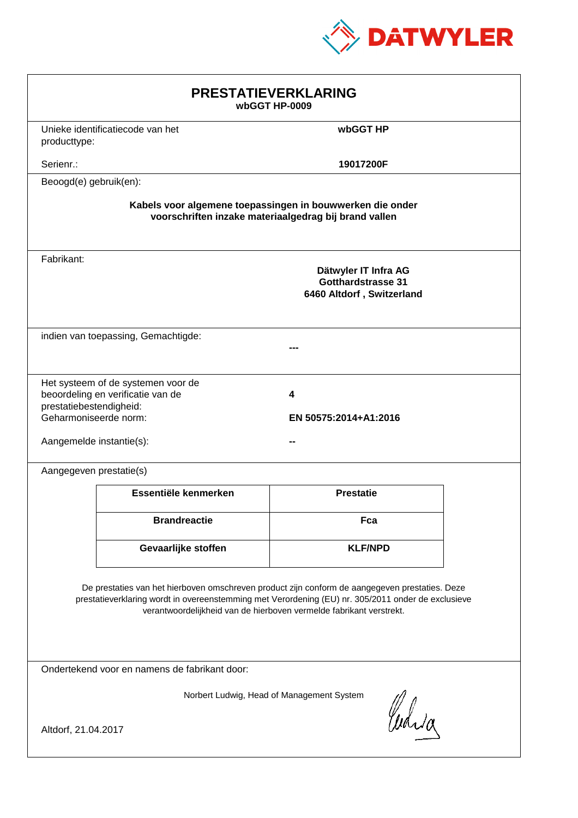

| <b>PRESTATIEVERKLARING</b><br>wbGGT HP-0009                                                                                                                                                                                                                                 |                                                                         |                                                                         |  |  |
|-----------------------------------------------------------------------------------------------------------------------------------------------------------------------------------------------------------------------------------------------------------------------------|-------------------------------------------------------------------------|-------------------------------------------------------------------------|--|--|
| producttype:                                                                                                                                                                                                                                                                | Unieke identificatiecode van het                                        | wbGGT HP                                                                |  |  |
| Serienr.:                                                                                                                                                                                                                                                                   |                                                                         | 19017200F                                                               |  |  |
| Beoogd(e) gebruik(en):                                                                                                                                                                                                                                                      |                                                                         |                                                                         |  |  |
| Kabels voor algemene toepassingen in bouwwerken die onder<br>voorschriften inzake materiaalgedrag bij brand vallen                                                                                                                                                          |                                                                         |                                                                         |  |  |
| Fabrikant:                                                                                                                                                                                                                                                                  |                                                                         | Dätwyler IT Infra AG<br>Gotthardstrasse 31<br>6460 Altdorf, Switzerland |  |  |
|                                                                                                                                                                                                                                                                             | indien van toepassing, Gemachtigde:                                     |                                                                         |  |  |
| prestatiebestendigheid:<br>Geharmoniseerde norm:<br>Aangemelde instantie(s):                                                                                                                                                                                                | Het systeem of de systemen voor de<br>beoordeling en verificatie van de | 4<br>EN 50575:2014+A1:2016                                              |  |  |
| Aangegeven prestatie(s)                                                                                                                                                                                                                                                     |                                                                         |                                                                         |  |  |
|                                                                                                                                                                                                                                                                             | Essentiële kenmerken                                                    | <b>Prestatie</b>                                                        |  |  |
|                                                                                                                                                                                                                                                                             | <b>Brandreactie</b>                                                     | Fca                                                                     |  |  |
|                                                                                                                                                                                                                                                                             | Gevaarlijke stoffen                                                     | <b>KLF/NPD</b>                                                          |  |  |
| De prestaties van het hierboven omschreven product zijn conform de aangegeven prestaties. Deze<br>prestatieverklaring wordt in overeenstemming met Verordening (EU) nr. 305/2011 onder de exclusieve<br>verantwoordelijkheid van de hierboven vermelde fabrikant verstrekt. |                                                                         |                                                                         |  |  |
| Ondertekend voor en namens de fabrikant door:                                                                                                                                                                                                                               |                                                                         |                                                                         |  |  |
| Norbert Ludwig, Head of Management System<br>Curia<br>Altdorf, 21.04.2017                                                                                                                                                                                                   |                                                                         |                                                                         |  |  |
|                                                                                                                                                                                                                                                                             |                                                                         |                                                                         |  |  |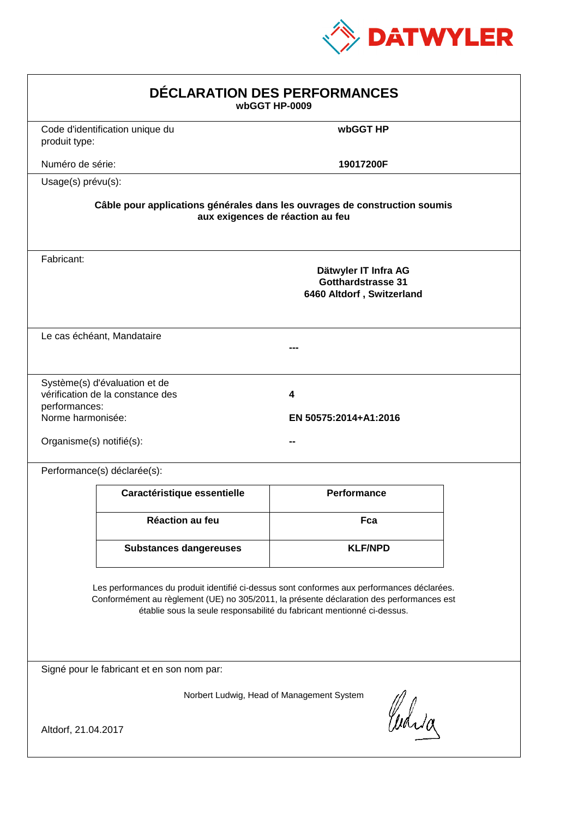

| DÉCLARATION DES PERFORMANCES<br>wbGGT HP-0009                                                                                                                                                                                                                    |                                                                                                                |                                                                                |  |  |  |
|------------------------------------------------------------------------------------------------------------------------------------------------------------------------------------------------------------------------------------------------------------------|----------------------------------------------------------------------------------------------------------------|--------------------------------------------------------------------------------|--|--|--|
| produit type:                                                                                                                                                                                                                                                    | Code d'identification unique du                                                                                | wbGGT HP                                                                       |  |  |  |
| Numéro de série:                                                                                                                                                                                                                                                 |                                                                                                                | 19017200F                                                                      |  |  |  |
|                                                                                                                                                                                                                                                                  | Usage(s) prévu(s):                                                                                             |                                                                                |  |  |  |
|                                                                                                                                                                                                                                                                  | Câble pour applications générales dans les ouvrages de construction soumis<br>aux exigences de réaction au feu |                                                                                |  |  |  |
| Fabricant:                                                                                                                                                                                                                                                       |                                                                                                                | Dätwyler IT Infra AG<br><b>Gotthardstrasse 31</b><br>6460 Altdorf, Switzerland |  |  |  |
|                                                                                                                                                                                                                                                                  | Le cas échéant, Mandataire                                                                                     |                                                                                |  |  |  |
| performances:<br>Norme harmonisée:<br>Organisme(s) notifié(s):                                                                                                                                                                                                   | Système(s) d'évaluation et de<br>vérification de la constance des                                              | 4<br>EN 50575:2014+A1:2016                                                     |  |  |  |
|                                                                                                                                                                                                                                                                  | Performance(s) déclarée(s):                                                                                    |                                                                                |  |  |  |
|                                                                                                                                                                                                                                                                  | Caractéristique essentielle                                                                                    | <b>Performance</b>                                                             |  |  |  |
|                                                                                                                                                                                                                                                                  | Réaction au feu                                                                                                | Fca                                                                            |  |  |  |
|                                                                                                                                                                                                                                                                  | <b>Substances dangereuses</b>                                                                                  | <b>KLF/NPD</b>                                                                 |  |  |  |
| Les performances du produit identifié ci-dessus sont conformes aux performances déclarées.<br>Conformément au règlement (UE) no 305/2011, la présente déclaration des performances est<br>établie sous la seule responsabilité du fabricant mentionné ci-dessus. |                                                                                                                |                                                                                |  |  |  |
| Signé pour le fabricant et en son nom par:                                                                                                                                                                                                                       |                                                                                                                |                                                                                |  |  |  |
| Norbert Ludwig, Head of Management System<br>Curia<br>Altdorf, 21.04.2017                                                                                                                                                                                        |                                                                                                                |                                                                                |  |  |  |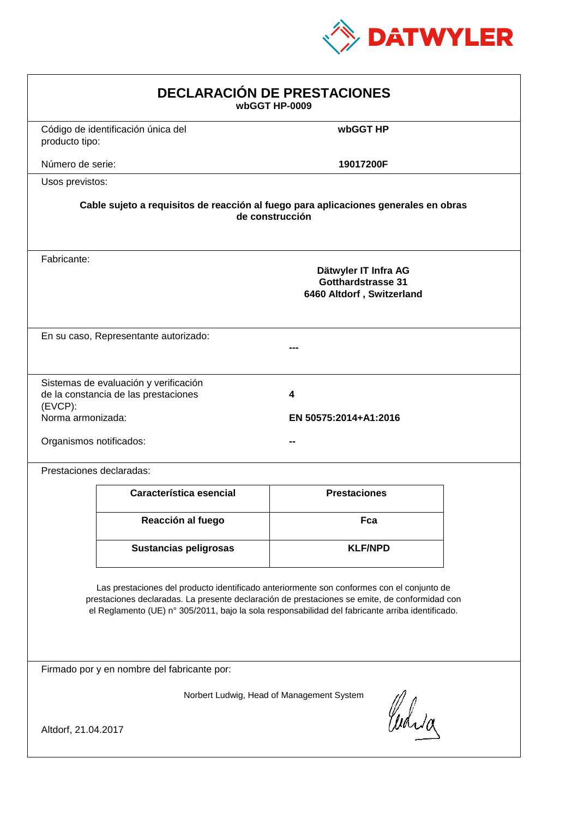

| <b>DECLARACIÓN DE PRESTACIONES</b><br>wbGGT HP-0009                                                                                                                                                                                                                                            |                                                                                                        |                            |  |  |  |
|------------------------------------------------------------------------------------------------------------------------------------------------------------------------------------------------------------------------------------------------------------------------------------------------|--------------------------------------------------------------------------------------------------------|----------------------------|--|--|--|
| producto tipo:                                                                                                                                                                                                                                                                                 | Código de identificación única del                                                                     | wbGGT HP                   |  |  |  |
| Número de serie:                                                                                                                                                                                                                                                                               |                                                                                                        | 19017200F                  |  |  |  |
| Usos previstos:                                                                                                                                                                                                                                                                                |                                                                                                        |                            |  |  |  |
|                                                                                                                                                                                                                                                                                                | Cable sujeto a requisitos de reacción al fuego para aplicaciones generales en obras<br>de construcción |                            |  |  |  |
| Fabricante:                                                                                                                                                                                                                                                                                    | Dätwyler IT Infra AG<br>Gotthardstrasse 31<br>6460 Altdorf, Switzerland                                |                            |  |  |  |
|                                                                                                                                                                                                                                                                                                | En su caso, Representante autorizado:                                                                  |                            |  |  |  |
| (EVCP):<br>Norma armonizada:<br>Organismos notificados:                                                                                                                                                                                                                                        | Sistemas de evaluación y verificación<br>de la constancia de las prestaciones                          | 4<br>EN 50575:2014+A1:2016 |  |  |  |
|                                                                                                                                                                                                                                                                                                | Prestaciones declaradas:                                                                               |                            |  |  |  |
|                                                                                                                                                                                                                                                                                                | Característica esencial                                                                                | <b>Prestaciones</b>        |  |  |  |
|                                                                                                                                                                                                                                                                                                | Reacción al fuego                                                                                      | Fca                        |  |  |  |
|                                                                                                                                                                                                                                                                                                | Sustancias peligrosas                                                                                  | <b>KLF/NPD</b>             |  |  |  |
| Las prestaciones del producto identificado anteriormente son conformes con el conjunto de<br>prestaciones declaradas. La presente declaración de prestaciones se emite, de conformidad con<br>el Reglamento (UE) nº 305/2011, bajo la sola responsabilidad del fabricante arriba identificado. |                                                                                                        |                            |  |  |  |
|                                                                                                                                                                                                                                                                                                | Firmado por y en nombre del fabricante por:                                                            |                            |  |  |  |
| Norbert Ludwig, Head of Management System<br>Curia<br>Altdorf, 21.04.2017                                                                                                                                                                                                                      |                                                                                                        |                            |  |  |  |
|                                                                                                                                                                                                                                                                                                |                                                                                                        |                            |  |  |  |